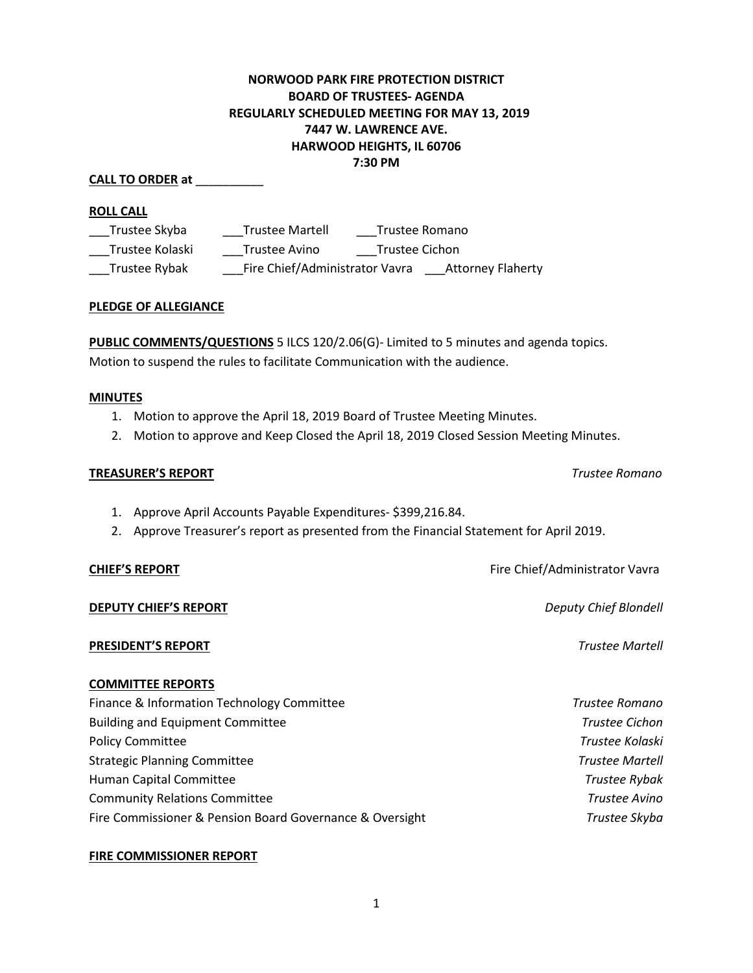# **NORWOOD PARK FIRE PROTECTION DISTRICT BOARD OF TRUSTEES- AGENDA REGULARLY SCHEDULED MEETING FOR MAY 13, 2019 7447 W. LAWRENCE AVE. HARWOOD HEIGHTS, IL 60706 7:30 PM**

#### **ROLL CALL**

| Trustee Skyba   | <b>Trustee Martell</b>         |                | Trustee Romano           |
|-----------------|--------------------------------|----------------|--------------------------|
| Trustee Kolaski | Trustee Avino                  | Trustee Cichon |                          |
| Trustee Rybak   | Fire Chief/Administrator Vavra |                | <b>Attorney Flaherty</b> |

#### **PLEDGE OF ALLEGIANCE**

**PUBLIC COMMENTS/QUESTIONS** 5 ILCS 120/2.06(G)- Limited to 5 minutes and agenda topics. Motion to suspend the rules to facilitate Communication with the audience.

#### **MINUTES**

- 1. Motion to approve the April 18, 2019 Board of Trustee Meeting Minutes.
- 2. Motion to approve and Keep Closed the April 18, 2019 Closed Session Meeting Minutes.

#### **TREASURER'S REPORT** *Trustee Romano*

- 1. Approve April Accounts Payable Expenditures- \$399,216.84.
- 2. Approve Treasurer's report as presented from the Financial Statement for April 2019.

## **DEPUTY CHIEF'S REPORT** *Deputy Chief Blondell*

## **PRESIDENT'S REPORT** *Trustee Martell*

## **COMMITTEE REPORTS**

| Finance & Information Technology Committee               | Trustee Romano         |
|----------------------------------------------------------|------------------------|
| <b>Building and Equipment Committee</b>                  | <b>Trustee Cichon</b>  |
| <b>Policy Committee</b>                                  | Trustee Kolaski        |
| <b>Strategic Planning Committee</b>                      | <b>Trustee Martell</b> |
| Human Capital Committee                                  | <b>Trustee Rybak</b>   |
| <b>Community Relations Committee</b>                     | Trustee Avino          |
| Fire Commissioner & Pension Board Governance & Oversight | Trustee Skyba          |

## **FIRE COMMISSIONER REPORT**

**CHIEF'S REPORT CHIEF'S REPORT Fire Chief/Administrator Vavra** 

**CALL TO ORDER at** \_\_\_\_\_\_\_\_\_\_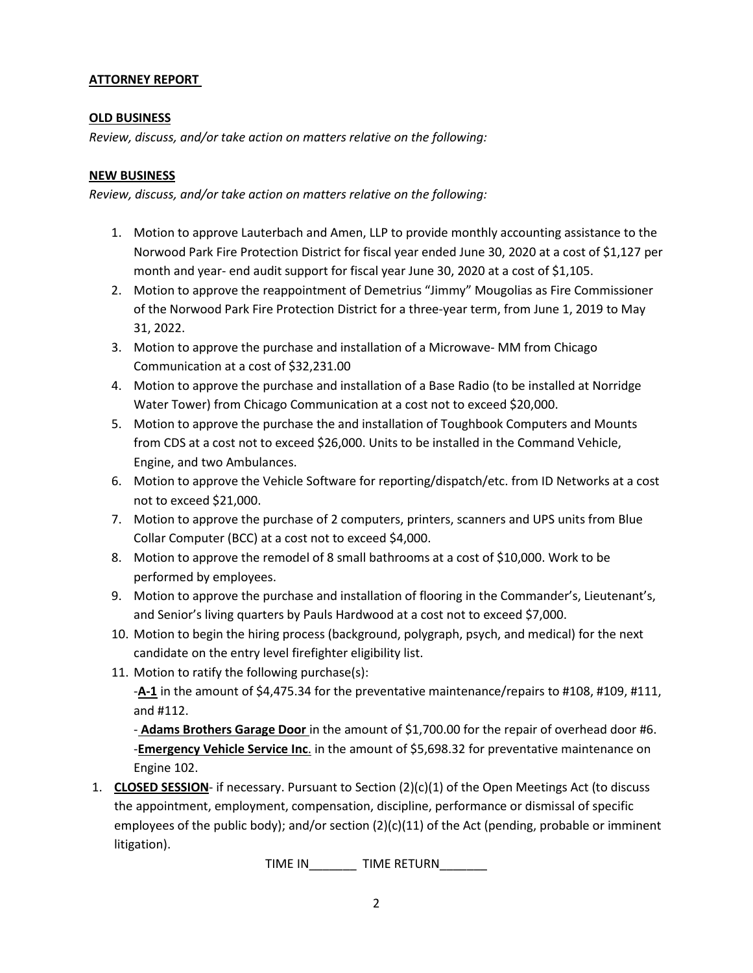# **ATTORNEY REPORT**

## **OLD BUSINESS**

*Review, discuss, and/or take action on matters relative on the following:*

## **NEW BUSINESS**

*Review, discuss, and/or take action on matters relative on the following:*

- 1. Motion to approve Lauterbach and Amen, LLP to provide monthly accounting assistance to the Norwood Park Fire Protection District for fiscal year ended June 30, 2020 at a cost of \$1,127 per month and year- end audit support for fiscal year June 30, 2020 at a cost of \$1,105.
- 2. Motion to approve the reappointment of Demetrius "Jimmy" Mougolias as Fire Commissioner of the Norwood Park Fire Protection District for a three-year term, from June 1, 2019 to May 31, 2022.
- 3. Motion to approve the purchase and installation of a Microwave- MM from Chicago Communication at a cost of \$32,231.00
- 4. Motion to approve the purchase and installation of a Base Radio (to be installed at Norridge Water Tower) from Chicago Communication at a cost not to exceed \$20,000.
- 5. Motion to approve the purchase the and installation of Toughbook Computers and Mounts from CDS at a cost not to exceed \$26,000. Units to be installed in the Command Vehicle, Engine, and two Ambulances.
- 6. Motion to approve the Vehicle Software for reporting/dispatch/etc. from ID Networks at a cost not to exceed \$21,000.
- 7. Motion to approve the purchase of 2 computers, printers, scanners and UPS units from Blue Collar Computer (BCC) at a cost not to exceed \$4,000.
- 8. Motion to approve the remodel of 8 small bathrooms at a cost of \$10,000. Work to be performed by employees.
- 9. Motion to approve the purchase and installation of flooring in the Commander's, Lieutenant's, and Senior's living quarters by Pauls Hardwood at a cost not to exceed \$7,000.
- 10. Motion to begin the hiring process (background, polygraph, psych, and medical) for the next candidate on the entry level firefighter eligibility list.
- 11. Motion to ratify the following purchase(s):

-**A-1** in the amount of \$4,475.34 for the preventative maintenance/repairs to #108, #109, #111, and #112.

- **Adams Brothers Garage Door** in the amount of \$1,700.00 for the repair of overhead door #6. -**Emergency Vehicle Service Inc**. in the amount of \$5,698.32 for preventative maintenance on Engine 102.

1. **CLOSED SESSION**- if necessary. Pursuant to Section (2)(c)(1) of the Open Meetings Act (to discuss the appointment, employment, compensation, discipline, performance or dismissal of specific employees of the public body); and/or section (2)(c)(11) of the Act (pending, probable or imminent litigation).

TIME IN\_\_\_\_\_\_\_ TIME RETURN\_\_\_\_\_\_\_